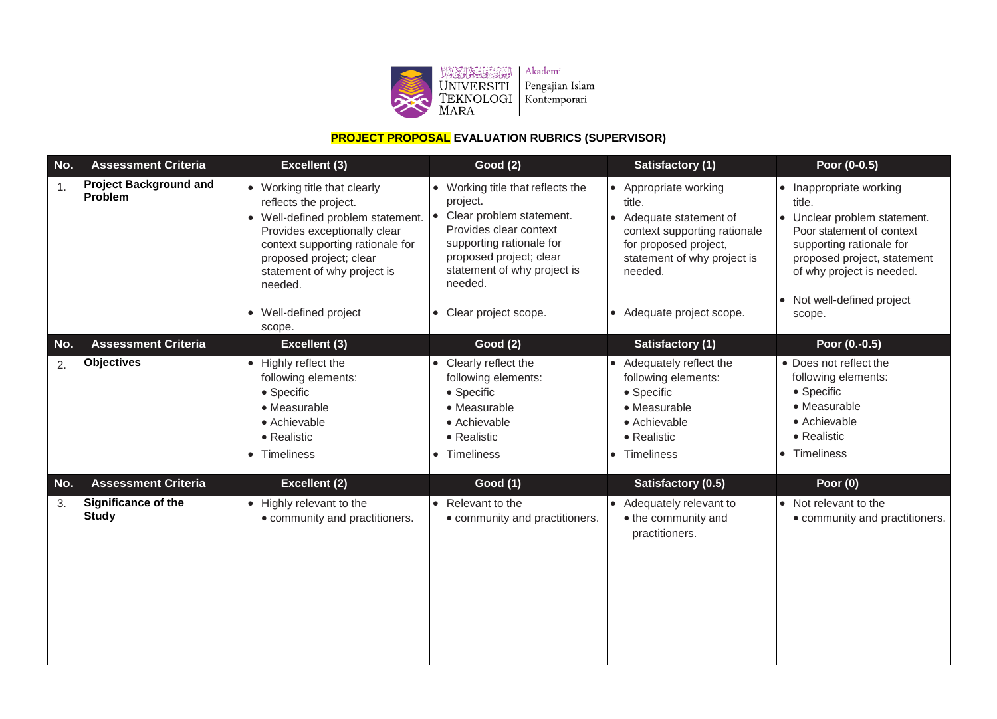

# **PROJECT PROPOSAL EVALUATION RUBRICS (SUPERVISOR)**

| No. | <b>Assessment Criteria</b>               | Excellent (3)                                                                                                                                                                                                                                                       | <b>Good (2)</b>                                                                                                                                                                                                                             | <b>Satisfactory (1)</b>                                                                                                                                                                    | Poor (0-0.5)                                                                                                                                                                                                                 |
|-----|------------------------------------------|---------------------------------------------------------------------------------------------------------------------------------------------------------------------------------------------------------------------------------------------------------------------|---------------------------------------------------------------------------------------------------------------------------------------------------------------------------------------------------------------------------------------------|--------------------------------------------------------------------------------------------------------------------------------------------------------------------------------------------|------------------------------------------------------------------------------------------------------------------------------------------------------------------------------------------------------------------------------|
| 1.  | <b>Project Background and</b><br>Problem | • Working title that clearly<br>reflects the project.<br>Well-defined problem statement.<br>Provides exceptionally clear<br>context supporting rationale for<br>proposed project; clear<br>statement of why project is<br>needed.<br>Well-defined project<br>scope. | • Working title that reflects the<br>project.<br>Clear problem statement.<br>$\bullet$<br>Provides clear context<br>supporting rationale for<br>proposed project; clear<br>statement of why project is<br>needed.<br>• Clear project scope. | • Appropriate working<br>title.<br>• Adequate statement of<br>context supporting rationale<br>for proposed project,<br>statement of why project is<br>needed.<br>• Adequate project scope. | • Inappropriate working<br>title.<br>• Unclear problem statement.<br>Poor statement of context<br>supporting rationale for<br>proposed project, statement<br>of why project is needed.<br>Not well-defined project<br>scope. |
| No. | <b>Assessment Criteria</b>               | <b>Excellent (3)</b>                                                                                                                                                                                                                                                | <b>Good (2)</b>                                                                                                                                                                                                                             | <b>Satisfactory (1)</b>                                                                                                                                                                    | Poor (0.-0.5)                                                                                                                                                                                                                |
| 2.  | <b>Objectives</b>                        | • Highly reflect the<br>following elements:<br>• Specific<br>• Measurable<br>• Achievable<br>• Realistic<br>Timeliness                                                                                                                                              | • Clearly reflect the<br>following elements:<br>• Specific<br>• Measurable<br>• Achievable<br>• Realistic<br>• Timeliness                                                                                                                   | • Adequately reflect the<br>following elements:<br>$\bullet$ Specific<br>• Measurable<br>• Achievable<br>• Realistic<br>Timeliness                                                         | • Does not reflect the<br>following elements:<br>• Specific<br>• Measurable<br>• Achievable<br>• Realistic<br>Timeliness                                                                                                     |
| No. | <b>Assessment Criteria</b>               | <b>Excellent (2)</b>                                                                                                                                                                                                                                                | <b>Good (1)</b>                                                                                                                                                                                                                             | Satisfactory (0.5)                                                                                                                                                                         | Poor $(0)$                                                                                                                                                                                                                   |
| 3.  | Significance of the<br><b>Study</b>      | • Highly relevant to the<br>• community and practitioners.                                                                                                                                                                                                          | • Relevant to the<br>• community and practitioners.                                                                                                                                                                                         | • Adequately relevant to<br>• the community and<br>practitioners.                                                                                                                          | • Not relevant to the<br>• community and practitioners.                                                                                                                                                                      |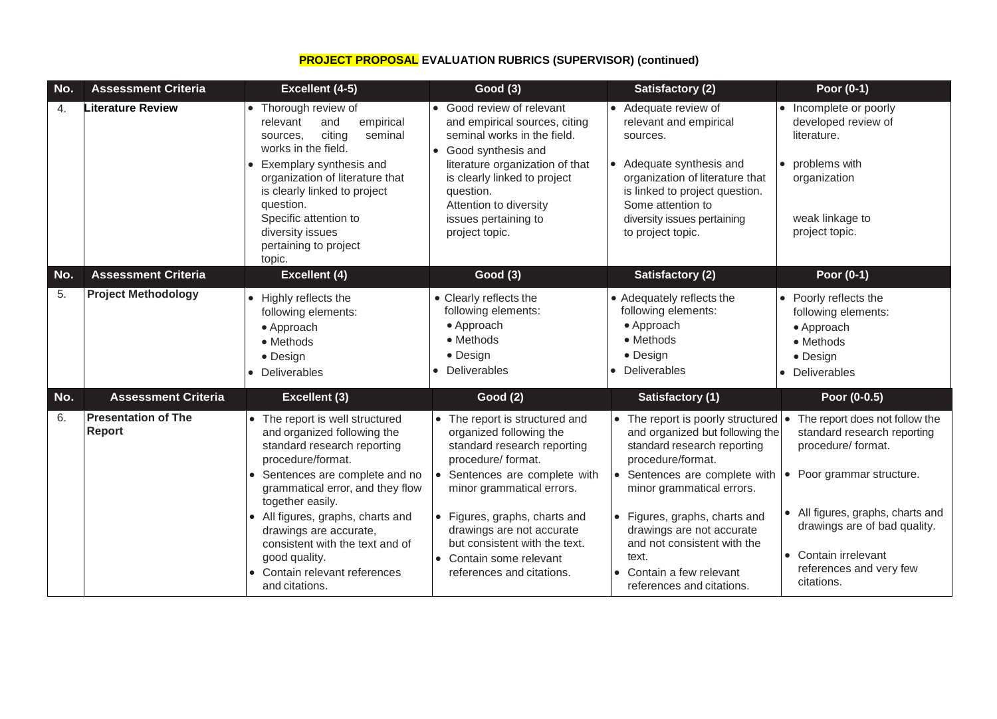## **PROJECT PROPOSAL EVALUATION RUBRICS (SUPERVISOR) (continued)**

| No. | <b>Assessment Criteria</b>           | Excellent (4-5)                                                                                                                                                                                                                                                                                                                                                                     | <b>Good (3)</b>                                                                                                                                                                                                                                                                                                                     | Satisfactory (2)                                                                                                                                                                                                                                                                                                                                      | Poor (0-1)                                                                                                                                                                                                                                             |
|-----|--------------------------------------|-------------------------------------------------------------------------------------------------------------------------------------------------------------------------------------------------------------------------------------------------------------------------------------------------------------------------------------------------------------------------------------|-------------------------------------------------------------------------------------------------------------------------------------------------------------------------------------------------------------------------------------------------------------------------------------------------------------------------------------|-------------------------------------------------------------------------------------------------------------------------------------------------------------------------------------------------------------------------------------------------------------------------------------------------------------------------------------------------------|--------------------------------------------------------------------------------------------------------------------------------------------------------------------------------------------------------------------------------------------------------|
| 4.  | Literature Review                    | • Thorough review of<br>empirical<br>and<br>relevant<br>citing<br>seminal<br>sources.<br>works in the field.<br>• Exemplary synthesis and<br>organization of literature that<br>is clearly linked to project<br>question.<br>Specific attention to<br>diversity issues<br>pertaining to project<br>topic.                                                                           | • Good review of relevant<br>and empirical sources, citing<br>seminal works in the field.<br>• Good synthesis and<br>literature organization of that<br>is clearly linked to project<br>question.<br>Attention to diversity<br>issues pertaining to<br>project topic.                                                               | • Adequate review of<br>relevant and empirical<br>sources.<br>• Adequate synthesis and<br>organization of literature that<br>is linked to project question.<br>Some attention to<br>diversity issues pertaining<br>to project topic.                                                                                                                  | • Incomplete or poorly<br>developed review of<br>literature.<br>• problems with<br>organization<br>weak linkage to<br>project topic.                                                                                                                   |
| No. | <b>Assessment Criteria</b>           | Excellent (4)                                                                                                                                                                                                                                                                                                                                                                       | <b>Good (3)</b>                                                                                                                                                                                                                                                                                                                     | <b>Satisfactory (2)</b>                                                                                                                                                                                                                                                                                                                               | Poor (0-1)                                                                                                                                                                                                                                             |
| 5.  | <b>Project Methodology</b>           | • Highly reflects the<br>following elements:<br>• Approach<br>• Methods<br>• Design<br>• Deliverables                                                                                                                                                                                                                                                                               | • Clearly reflects the<br>following elements:<br>• Approach<br>• Methods<br>• Design<br>• Deliverables                                                                                                                                                                                                                              | • Adequately reflects the<br>following elements:<br>• Approach<br>• Methods<br>• Design<br><b>Deliverables</b>                                                                                                                                                                                                                                        | • Poorly reflects the<br>following elements:<br>• Approach<br>• Methods<br>• Design<br>• Deliverables                                                                                                                                                  |
| No. | <b>Assessment Criteria</b>           | Excellent (3)                                                                                                                                                                                                                                                                                                                                                                       | <b>Good (2)</b>                                                                                                                                                                                                                                                                                                                     | <b>Satisfactory (1)</b>                                                                                                                                                                                                                                                                                                                               | Poor (0-0.5)                                                                                                                                                                                                                                           |
| 6.  | <b>Presentation of The</b><br>Report | • The report is well structured<br>and organized following the<br>standard research reporting<br>procedure/format.<br>• Sentences are complete and no<br>grammatical error, and they flow<br>together easily.<br>• All figures, graphs, charts and<br>drawings are accurate,<br>consistent with the text and of<br>good quality.<br>• Contain relevant references<br>and citations. | • The report is structured and<br>organized following the<br>standard research reporting<br>procedure/ format.<br>• Sentences are complete with<br>minor grammatical errors.<br>• Figures, graphs, charts and<br>drawings are not accurate<br>but consistent with the text.<br>• Contain some relevant<br>references and citations. | • The report is poorly structured<br>and organized but following the<br>standard research reporting<br>procedure/format.<br>• Sentences are complete with<br>minor grammatical errors.<br>• Figures, graphs, charts and<br>drawings are not accurate<br>and not consistent with the<br>text.<br>• Contain a few relevant<br>references and citations. | The report does not follow the<br>standard research reporting<br>procedure/ format.<br>• Poor grammar structure.<br>• All figures, graphs, charts and<br>drawings are of bad quality.<br>• Contain irrelevant<br>references and very few<br>citations. |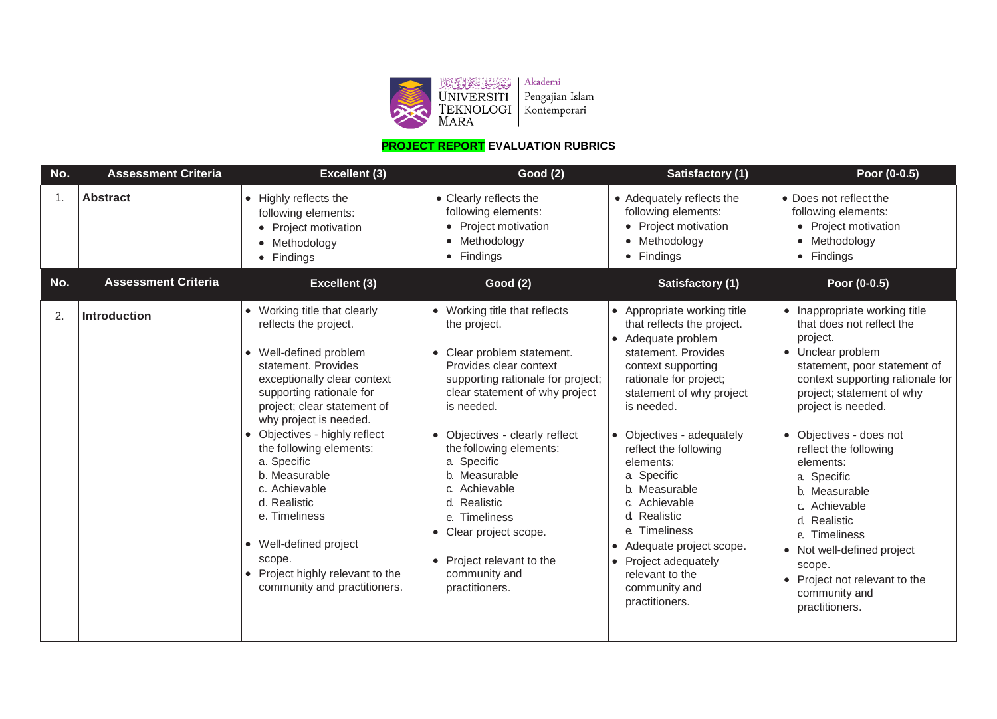

## **PROJECT REPORT EVALUATION RUBRICS**

| No. | <b>Assessment Criteria</b> | <b>Excellent (3)</b>                                                                                                                                                                                                                                                                                                                                                                                                                                                           | <b>Good (2)</b>                                                                                                                                                                                                                                                                                                                                                                                                                    | <b>Satisfactory (1)</b>                                                                                                                                                                                                                                                                                                                                                                                                                                                     | Poor (0-0.5)                                                                                                                                                                                                                                                                                                                                                                                                                                                                    |
|-----|----------------------------|--------------------------------------------------------------------------------------------------------------------------------------------------------------------------------------------------------------------------------------------------------------------------------------------------------------------------------------------------------------------------------------------------------------------------------------------------------------------------------|------------------------------------------------------------------------------------------------------------------------------------------------------------------------------------------------------------------------------------------------------------------------------------------------------------------------------------------------------------------------------------------------------------------------------------|-----------------------------------------------------------------------------------------------------------------------------------------------------------------------------------------------------------------------------------------------------------------------------------------------------------------------------------------------------------------------------------------------------------------------------------------------------------------------------|---------------------------------------------------------------------------------------------------------------------------------------------------------------------------------------------------------------------------------------------------------------------------------------------------------------------------------------------------------------------------------------------------------------------------------------------------------------------------------|
| 1.  | <b>Abstract</b>            | • Highly reflects the<br>following elements:<br>• Project motivation<br>• Methodology<br>• Findings                                                                                                                                                                                                                                                                                                                                                                            | • Clearly reflects the<br>following elements:<br>• Project motivation<br>• Methodology<br>• Findings                                                                                                                                                                                                                                                                                                                               | • Adequately reflects the<br>following elements:<br>• Project motivation<br>• Methodology<br>• Findings                                                                                                                                                                                                                                                                                                                                                                     | • Does not reflect the<br>following elements:<br>• Project motivation<br>• Methodology<br>• Findings                                                                                                                                                                                                                                                                                                                                                                            |
| No. | <b>Assessment Criteria</b> | <b>Excellent (3)</b>                                                                                                                                                                                                                                                                                                                                                                                                                                                           | <b>Good (2)</b>                                                                                                                                                                                                                                                                                                                                                                                                                    | <b>Satisfactory (1)</b>                                                                                                                                                                                                                                                                                                                                                                                                                                                     | Poor (0-0.5)                                                                                                                                                                                                                                                                                                                                                                                                                                                                    |
| 2.  | Introduction               | • Working title that clearly<br>reflects the project.<br>• Well-defined problem<br>statement. Provides<br>exceptionally clear context<br>supporting rationale for<br>project; clear statement of<br>why project is needed.<br>Objectives - highly reflect<br>the following elements:<br>a. Specific<br>b. Measurable<br>c. Achievable<br>d. Realistic<br>e. Timeliness<br>• Well-defined project<br>scope.<br>• Project highly relevant to the<br>community and practitioners. | • Working title that reflects<br>the project.<br>• Clear problem statement.<br>Provides clear context<br>supporting rationale for project;<br>clear statement of why project<br>is needed.<br>• Objectives - clearly reflect<br>the following elements:<br>a Specific<br>b. Measurable<br>c. Achievable<br>d. Realistic<br>e. Timeliness<br>• Clear project scope.<br>• Project relevant to the<br>community and<br>practitioners. | • Appropriate working title<br>that reflects the project.<br>• Adequate problem<br>statement. Provides<br>context supporting<br>rationale for project;<br>statement of why project<br>is needed.<br>• Objectives - adequately<br>reflect the following<br>elements:<br>a. Specific<br>b. Measurable<br>c. Achievable<br>d. Realistic<br>e. Timeliness<br>Adequate project scope.<br>$\bullet$<br>• Project adequately<br>relevant to the<br>community and<br>practitioners. | • Inappropriate working title<br>that does not reflect the<br>project.<br>• Unclear problem<br>statement, poor statement of<br>context supporting rationale for<br>project; statement of why<br>project is needed.<br>• Objectives - does not<br>reflect the following<br>elements:<br>a. Specific<br>b. Measurable<br>c. Achievable<br>d. Realistic<br>e. Timeliness<br>• Not well-defined project<br>scope.<br>Project not relevant to the<br>community and<br>practitioners. |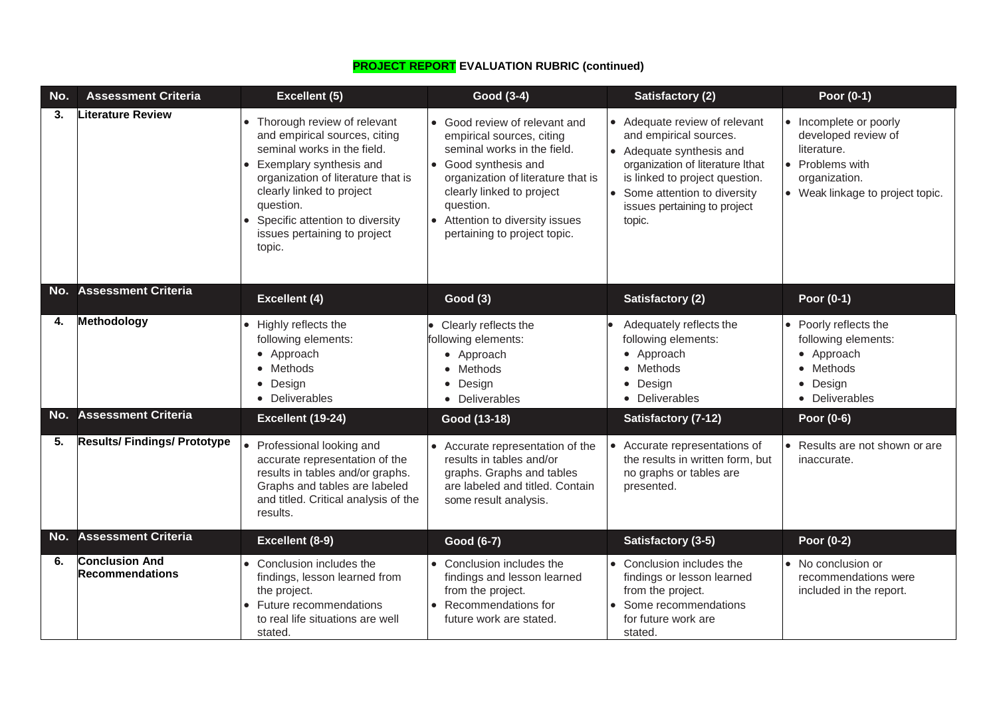| No. | <b>Assessment Criteria</b>               | <b>Excellent (5)</b>                                                                                                                                                                                                                                                                | Good (3-4)                                                                                                                                                                                                                                                         | <b>Satisfactory (2)</b>                                                                                                                                                                                                                         | Poor (0-1)                                                                                                                           |
|-----|------------------------------------------|-------------------------------------------------------------------------------------------------------------------------------------------------------------------------------------------------------------------------------------------------------------------------------------|--------------------------------------------------------------------------------------------------------------------------------------------------------------------------------------------------------------------------------------------------------------------|-------------------------------------------------------------------------------------------------------------------------------------------------------------------------------------------------------------------------------------------------|--------------------------------------------------------------------------------------------------------------------------------------|
| 3.  | <b>Literature Review</b>                 | Thorough review of relevant<br>and empirical sources, citing<br>seminal works in the field.<br>Exemplary synthesis and<br>organization of literature that is<br>clearly linked to project<br>question.<br>Specific attention to diversity<br>issues pertaining to project<br>topic. | • Good review of relevant and<br>empirical sources, citing<br>seminal works in the field.<br>• Good synthesis and<br>organization of literature that is<br>clearly linked to project<br>question.<br>Attention to diversity issues<br>pertaining to project topic. | • Adequate review of relevant<br>and empirical sources.<br>• Adequate synthesis and<br>organization of literature Ithat<br>is linked to project question.<br>Some attention to diversity<br>$\bullet$<br>issues pertaining to project<br>topic. | • Incomplete or poorly<br>developed review of<br>literature.<br>• Problems with<br>organization.<br>• Weak linkage to project topic. |
|     | No. Assessment Criteria                  | <b>Excellent (4)</b>                                                                                                                                                                                                                                                                | <b>Good (3)</b>                                                                                                                                                                                                                                                    | <b>Satisfactory (2)</b>                                                                                                                                                                                                                         | Poor (0-1)                                                                                                                           |
| 4.  | Methodology                              | Highly reflects the<br>following elements:<br>• Approach<br>• Methods<br>• Design<br>• Deliverables                                                                                                                                                                                 | Clearly reflects the<br>following elements:<br>• Approach<br>• Methods<br>• Design<br>• Deliverables                                                                                                                                                               | Adequately reflects the<br>following elements:<br>Approach<br>$\bullet$<br>Methods<br>Design<br>$\bullet$<br>Deliverables<br>$\bullet$                                                                                                          | • Poorly reflects the<br>following elements:<br>• Approach<br>• Methods<br>• Design<br>• Deliverables                                |
| No. | <b>Assessment Criteria</b>               | Excellent (19-24)                                                                                                                                                                                                                                                                   | Good (13-18)                                                                                                                                                                                                                                                       | Satisfactory (7-12)                                                                                                                                                                                                                             | Poor (0-6)                                                                                                                           |
| 5.  | <b>Results/Findings/Prototype</b>        | Professional looking and<br>accurate representation of the<br>results in tables and/or graphs.<br>Graphs and tables are labeled<br>and titled. Critical analysis of the<br>results.                                                                                                 | • Accurate representation of the<br>results in tables and/or<br>graphs. Graphs and tables<br>are labeled and titled. Contain<br>some result analysis.                                                                                                              | Accurate representations of<br>the results in written form, but<br>no graphs or tables are<br>presented.                                                                                                                                        | • Results are not shown or are<br>inaccurate.                                                                                        |
|     | No. Assessment Criteria                  | Excellent (8-9)                                                                                                                                                                                                                                                                     | Good (6-7)                                                                                                                                                                                                                                                         | Satisfactory (3-5)                                                                                                                                                                                                                              | Poor (0-2)                                                                                                                           |
| 6.  | <b>Conclusion And</b><br>Recommendations | Conclusion includes the<br>findings, lesson learned from<br>the project.<br>• Future recommendations<br>to real life situations are well<br>stated.                                                                                                                                 | • Conclusion includes the<br>findings and lesson learned<br>from the project.<br>Recommendations for<br>future work are stated.                                                                                                                                    | • Conclusion includes the<br>findings or lesson learned<br>from the project.<br>Some recommendations<br>for future work are<br>stated.                                                                                                          | • No conclusion or<br>recommendations were<br>included in the report.                                                                |

# **PROJECT REPORT EVALUATION RUBRIC (continued)**